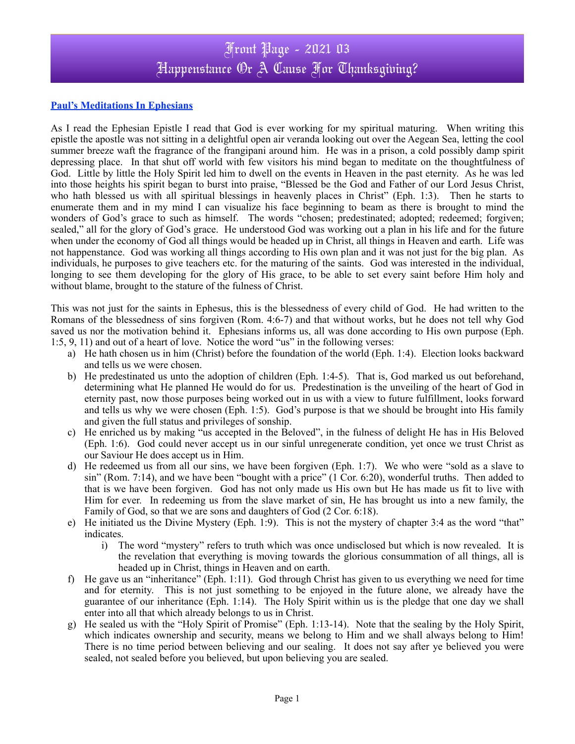## Front Page - 2021 03 Happenstance Or A Cause For Thanksgiving?

## **Paul's Meditations In Ephesians**

As I read the Ephesian Epistle I read that God is ever working for my spiritual maturing. When writing this epistle the apostle was not sitting in a delightful open air veranda looking out over the Aegean Sea, letting the cool summer breeze waft the fragrance of the frangipani around him. He was in a prison, a cold possibly damp spirit depressing place. In that shut off world with few visitors his mind began to meditate on the thoughtfulness of God. Little by little the Holy Spirit led him to dwell on the events in Heaven in the past eternity. As he was led into those heights his spirit began to burst into praise, "Blessed be the God and Father of our Lord Jesus Christ, who hath blessed us with all spiritual blessings in heavenly places in Christ" (Eph. 1:3). Then he starts to enumerate them and in my mind I can visualize his face beginning to beam as there is brought to mind the wonders of God's grace to such as himself. The words "chosen; predestinated; adopted; redeemed; forgiven; sealed," all for the glory of God's grace. He understood God was working out a plan in his life and for the future when under the economy of God all things would be headed up in Christ, all things in Heaven and earth. Life was not happenstance. God was working all things according to His own plan and it was not just for the big plan. As individuals, he purposes to give teachers etc. for the maturing of the saints. God was interested in the individual, longing to see them developing for the glory of His grace, to be able to set every saint before Him holy and without blame, brought to the stature of the fulness of Christ.

This was not just for the saints in Ephesus, this is the blessedness of every child of God. He had written to the Romans of the blessedness of sins forgiven (Rom. 4:6-7) and that without works, but he does not tell why God saved us nor the motivation behind it. Ephesians informs us, all was done according to His own purpose (Eph. 1:5, 9, 11) and out of a heart of love. Notice the word "us" in the following verses:

- a) He hath chosen us in him (Christ) before the foundation of the world (Eph. 1:4). Election looks backward and tells us we were chosen.
- b) He predestinated us unto the adoption of children (Eph. 1:4-5). That is, God marked us out beforehand, determining what He planned He would do for us. Predestination is the unveiling of the heart of God in eternity past, now those purposes being worked out in us with a view to future fulfillment, looks forward and tells us why we were chosen (Eph. 1:5). God's purpose is that we should be brought into His family and given the full status and privileges of sonship.
- c) He enriched us by making "us accepted in the Beloved", in the fulness of delight He has in His Beloved (Eph. 1:6). God could never accept us in our sinful unregenerate condition, yet once we trust Christ as our Saviour He does accept us in Him.
- d) He redeemed us from all our sins, we have been forgiven (Eph. 1:7). We who were "sold as a slave to sin" (Rom. 7:14), and we have been "bought with a price" (1 Cor. 6:20), wonderful truths. Then added to that is we have been forgiven. God has not only made us His own but He has made us fit to live with Him for ever. In redeeming us from the slave market of sin, He has brought us into a new family, the Family of God, so that we are sons and daughters of God (2 Cor. 6:18).
- e) He initiated us the Divine Mystery (Eph. 1:9). This is not the mystery of chapter 3:4 as the word "that" indicates.
	- i) The word "mystery" refers to truth which was once undisclosed but which is now revealed. It is the revelation that everything is moving towards the glorious consummation of all things, all is headed up in Christ, things in Heaven and on earth.
- f) He gave us an "inheritance" (Eph. 1:11). God through Christ has given to us everything we need for time and for eternity. This is not just something to be enjoyed in the future alone, we already have the guarantee of our inheritance (Eph. 1:14). The Holy Spirit within us is the pledge that one day we shall enter into all that which already belongs to us in Christ.
- g) He sealed us with the "Holy Spirit of Promise" (Eph. 1:13-14). Note that the sealing by the Holy Spirit, which indicates ownership and security, means we belong to Him and we shall always belong to Him! There is no time period between believing and our sealing. It does not say after ye believed you were sealed, not sealed before you believed, but upon believing you are sealed.